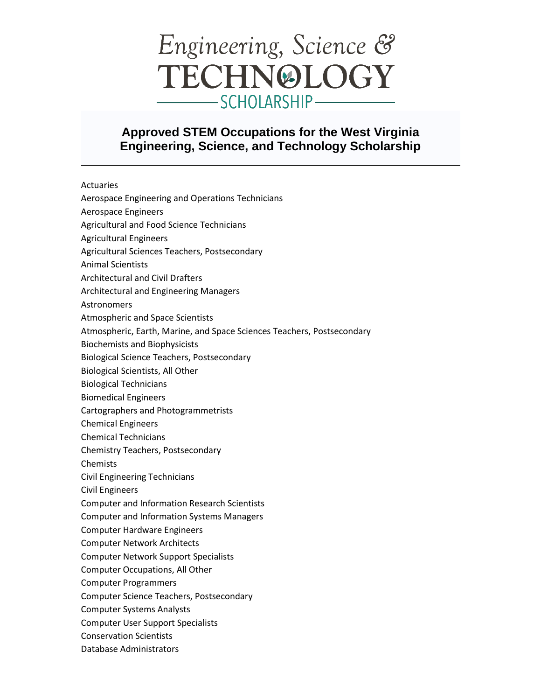## Engineering, Science & TECHNOLOGY -SCHOLARSHIP -

## **Approved STEM Occupations for the West Virginia Engineering, Science, and Technology Scholarship**

Actuaries



Database Administrators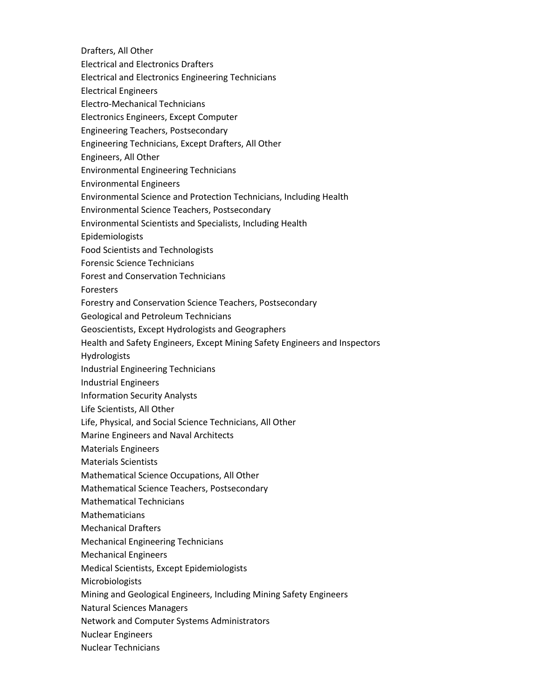- Drafters, All Other
- Electrical and Electronics Drafters
- Electrical and Electronics Engineering Technicians
- Electrical Engineers
- Electro‐Mechanical Technicians
- Electronics Engineers, Except Computer
- Engineering Teachers, Postsecondary
- Engineering Technicians, Except Drafters, All Other
- Engineers, All Other
- Environmental Engineering Technicians
- Environmental Engineers
- Environmental Science and Protection Technicians, Including Health
- Environmental Science Teachers, Postsecondary
- Environmental Scientists and Specialists, Including Health
- Epidemiologists
- Food Scientists and Technologists
- Forensic Science Technicians
- Forest and Conservation Technicians
- Foresters
- Forestry and Conservation Science Teachers, Postsecondary
- Geological and Petroleum Technicians
- Geoscientists, Except Hydrologists and Geographers
- Health and Safety Engineers, Except Mining Safety Engineers and Inspectors
- Hydrologists
- Industrial Engineering Technicians
- Industrial Engineers
- Information Security Analysts
- Life Scientists, All Other
- Life, Physical, and Social Science Technicians, All Other
- Marine Engineers and Naval Architects
- Materials Engineers
- Materials Scientists
- Mathematical Science Occupations, All Other
- Mathematical Science Teachers, Postsecondary
- Mathematical Technicians
- Mathematicians
- Mechanical Drafters
- Mechanical Engineering Technicians
- Mechanical Engineers
- Medical Scientists, Except Epidemiologists
- **Microbiologists**
- Mining and Geological Engineers, Including Mining Safety Engineers
- Natural Sciences Managers
- Network and Computer Systems Administrators
- Nuclear Engineers
- Nuclear Technicians